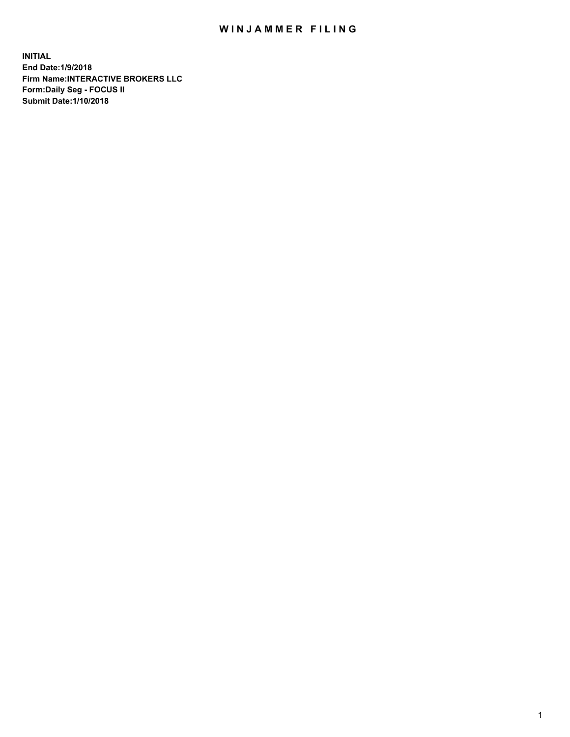## WIN JAMMER FILING

**INITIAL End Date:1/9/2018 Firm Name:INTERACTIVE BROKERS LLC Form:Daily Seg - FOCUS II Submit Date:1/10/2018**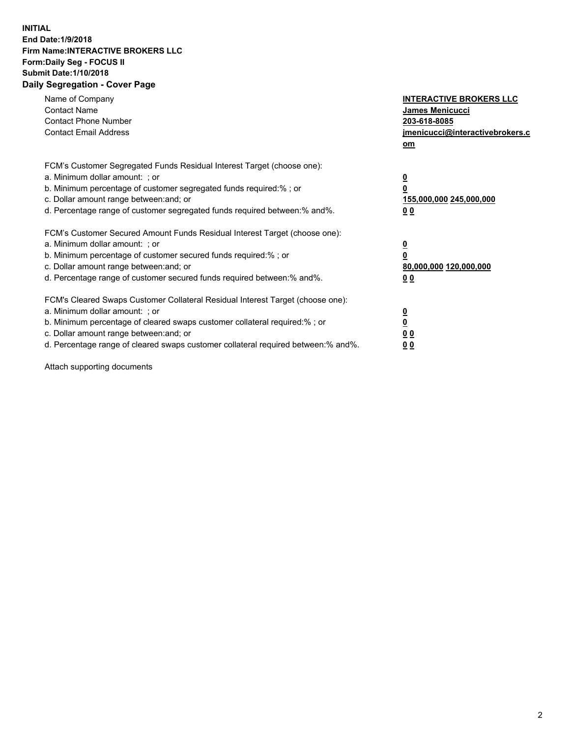## **INITIAL End Date:1/9/2018 Firm Name:INTERACTIVE BROKERS LLC Form:Daily Seg - FOCUS II Submit Date:1/10/2018 Daily Segregation - Cover Page**

| Name of Company<br><b>Contact Name</b><br><b>Contact Phone Number</b><br><b>Contact Email Address</b>                                                                                                                                                                                                                          | <b>INTERACTIVE BROKERS LLC</b><br><b>James Menicucci</b><br>203-618-8085<br>jmenicucci@interactivebrokers.c<br>om |  |
|--------------------------------------------------------------------------------------------------------------------------------------------------------------------------------------------------------------------------------------------------------------------------------------------------------------------------------|-------------------------------------------------------------------------------------------------------------------|--|
| FCM's Customer Segregated Funds Residual Interest Target (choose one):<br>a. Minimum dollar amount: ; or<br>b. Minimum percentage of customer segregated funds required:% ; or<br>c. Dollar amount range between: and; or<br>d. Percentage range of customer segregated funds required between: % and %.                       | $\overline{\mathbf{0}}$<br>0<br>155,000,000 245,000,000<br>00                                                     |  |
| FCM's Customer Secured Amount Funds Residual Interest Target (choose one):<br>a. Minimum dollar amount: ; or<br>b. Minimum percentage of customer secured funds required:%; or<br>c. Dollar amount range between: and; or<br>d. Percentage range of customer secured funds required between: % and %.                          | $\overline{\mathbf{0}}$<br>0<br>80,000,000 120,000,000<br>00                                                      |  |
| FCM's Cleared Swaps Customer Collateral Residual Interest Target (choose one):<br>a. Minimum dollar amount: ; or<br>b. Minimum percentage of cleared swaps customer collateral required:% ; or<br>c. Dollar amount range between: and; or<br>d. Percentage range of cleared swaps customer collateral required between:% and%. | $\overline{\mathbf{0}}$<br>$\overline{\mathbf{0}}$<br>00<br>0 <sub>0</sub>                                        |  |

Attach supporting documents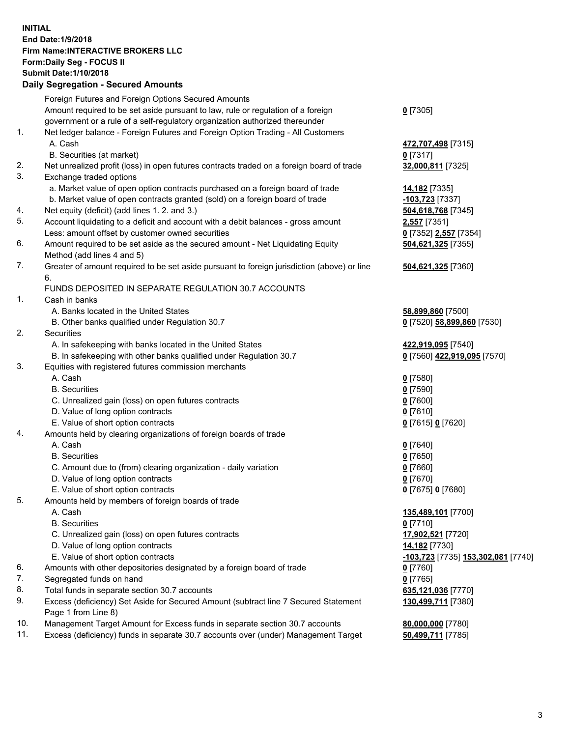## **INITIAL End Date:1/9/2018 Firm Name:INTERACTIVE BROKERS LLC Form:Daily Seg - FOCUS II Submit Date:1/10/2018 Daily Segregation - Secured Amounts**

| Daily Segregation - Secured Amounts                                                         |                                                                                                                                                                                                                                                                                                                                                                                                                                                                                                                                                                                                                                                                                                                                                                                                                                                                                                                                                                             |  |
|---------------------------------------------------------------------------------------------|-----------------------------------------------------------------------------------------------------------------------------------------------------------------------------------------------------------------------------------------------------------------------------------------------------------------------------------------------------------------------------------------------------------------------------------------------------------------------------------------------------------------------------------------------------------------------------------------------------------------------------------------------------------------------------------------------------------------------------------------------------------------------------------------------------------------------------------------------------------------------------------------------------------------------------------------------------------------------------|--|
| Foreign Futures and Foreign Options Secured Amounts                                         |                                                                                                                                                                                                                                                                                                                                                                                                                                                                                                                                                                                                                                                                                                                                                                                                                                                                                                                                                                             |  |
| Amount required to be set aside pursuant to law, rule or regulation of a foreign            | $0$ [7305]                                                                                                                                                                                                                                                                                                                                                                                                                                                                                                                                                                                                                                                                                                                                                                                                                                                                                                                                                                  |  |
| government or a rule of a self-regulatory organization authorized thereunder                |                                                                                                                                                                                                                                                                                                                                                                                                                                                                                                                                                                                                                                                                                                                                                                                                                                                                                                                                                                             |  |
| Net ledger balance - Foreign Futures and Foreign Option Trading - All Customers             |                                                                                                                                                                                                                                                                                                                                                                                                                                                                                                                                                                                                                                                                                                                                                                                                                                                                                                                                                                             |  |
| A. Cash                                                                                     | 472,707,498 [7315]                                                                                                                                                                                                                                                                                                                                                                                                                                                                                                                                                                                                                                                                                                                                                                                                                                                                                                                                                          |  |
| B. Securities (at market)                                                                   | $0$ [7317]                                                                                                                                                                                                                                                                                                                                                                                                                                                                                                                                                                                                                                                                                                                                                                                                                                                                                                                                                                  |  |
| Net unrealized profit (loss) in open futures contracts traded on a foreign board of trade   | 32,000,811 [7325]                                                                                                                                                                                                                                                                                                                                                                                                                                                                                                                                                                                                                                                                                                                                                                                                                                                                                                                                                           |  |
| Exchange traded options                                                                     |                                                                                                                                                                                                                                                                                                                                                                                                                                                                                                                                                                                                                                                                                                                                                                                                                                                                                                                                                                             |  |
| a. Market value of open option contracts purchased on a foreign board of trade              | 14,182 <sub>[7335]</sub>                                                                                                                                                                                                                                                                                                                                                                                                                                                                                                                                                                                                                                                                                                                                                                                                                                                                                                                                                    |  |
| b. Market value of open contracts granted (sold) on a foreign board of trade                | 103,723 [7337]                                                                                                                                                                                                                                                                                                                                                                                                                                                                                                                                                                                                                                                                                                                                                                                                                                                                                                                                                              |  |
| Net equity (deficit) (add lines 1.2. and 3.)                                                | 504,618,768 [7345]                                                                                                                                                                                                                                                                                                                                                                                                                                                                                                                                                                                                                                                                                                                                                                                                                                                                                                                                                          |  |
| Account liquidating to a deficit and account with a debit balances - gross amount           | <b>2,557</b> [7351]                                                                                                                                                                                                                                                                                                                                                                                                                                                                                                                                                                                                                                                                                                                                                                                                                                                                                                                                                         |  |
| Less: amount offset by customer owned securities                                            | 0 [7352] 2,557 [7354]                                                                                                                                                                                                                                                                                                                                                                                                                                                                                                                                                                                                                                                                                                                                                                                                                                                                                                                                                       |  |
| Amount required to be set aside as the secured amount - Net Liquidating Equity              | 504,621,325 [7355]                                                                                                                                                                                                                                                                                                                                                                                                                                                                                                                                                                                                                                                                                                                                                                                                                                                                                                                                                          |  |
| Method (add lines 4 and 5)                                                                  |                                                                                                                                                                                                                                                                                                                                                                                                                                                                                                                                                                                                                                                                                                                                                                                                                                                                                                                                                                             |  |
| Greater of amount required to be set aside pursuant to foreign jurisdiction (above) or line | 504,621,325 [7360]                                                                                                                                                                                                                                                                                                                                                                                                                                                                                                                                                                                                                                                                                                                                                                                                                                                                                                                                                          |  |
| 6.                                                                                          |                                                                                                                                                                                                                                                                                                                                                                                                                                                                                                                                                                                                                                                                                                                                                                                                                                                                                                                                                                             |  |
| FUNDS DEPOSITED IN SEPARATE REGULATION 30.7 ACCOUNTS                                        |                                                                                                                                                                                                                                                                                                                                                                                                                                                                                                                                                                                                                                                                                                                                                                                                                                                                                                                                                                             |  |
| Cash in banks                                                                               |                                                                                                                                                                                                                                                                                                                                                                                                                                                                                                                                                                                                                                                                                                                                                                                                                                                                                                                                                                             |  |
| A. Banks located in the United States                                                       | 58,899,860 [7500]                                                                                                                                                                                                                                                                                                                                                                                                                                                                                                                                                                                                                                                                                                                                                                                                                                                                                                                                                           |  |
| B. Other banks qualified under Regulation 30.7                                              | 0 [7520] 58,899,860 [7530]                                                                                                                                                                                                                                                                                                                                                                                                                                                                                                                                                                                                                                                                                                                                                                                                                                                                                                                                                  |  |
| Securities                                                                                  |                                                                                                                                                                                                                                                                                                                                                                                                                                                                                                                                                                                                                                                                                                                                                                                                                                                                                                                                                                             |  |
| A. In safekeeping with banks located in the United States                                   | 422,919,095 [7540]                                                                                                                                                                                                                                                                                                                                                                                                                                                                                                                                                                                                                                                                                                                                                                                                                                                                                                                                                          |  |
| B. In safekeeping with other banks qualified under Regulation 30.7                          | 0 [7560] 422,919,095 [7570]                                                                                                                                                                                                                                                                                                                                                                                                                                                                                                                                                                                                                                                                                                                                                                                                                                                                                                                                                 |  |
| Equities with registered futures commission merchants                                       |                                                                                                                                                                                                                                                                                                                                                                                                                                                                                                                                                                                                                                                                                                                                                                                                                                                                                                                                                                             |  |
| A. Cash                                                                                     | $0$ [7580]                                                                                                                                                                                                                                                                                                                                                                                                                                                                                                                                                                                                                                                                                                                                                                                                                                                                                                                                                                  |  |
|                                                                                             | $0$ [7590]                                                                                                                                                                                                                                                                                                                                                                                                                                                                                                                                                                                                                                                                                                                                                                                                                                                                                                                                                                  |  |
|                                                                                             | $0$ [7600]                                                                                                                                                                                                                                                                                                                                                                                                                                                                                                                                                                                                                                                                                                                                                                                                                                                                                                                                                                  |  |
|                                                                                             | $0$ [7610]                                                                                                                                                                                                                                                                                                                                                                                                                                                                                                                                                                                                                                                                                                                                                                                                                                                                                                                                                                  |  |
|                                                                                             | 0 [7615] 0 [7620]                                                                                                                                                                                                                                                                                                                                                                                                                                                                                                                                                                                                                                                                                                                                                                                                                                                                                                                                                           |  |
|                                                                                             |                                                                                                                                                                                                                                                                                                                                                                                                                                                                                                                                                                                                                                                                                                                                                                                                                                                                                                                                                                             |  |
|                                                                                             | $0$ [7640]                                                                                                                                                                                                                                                                                                                                                                                                                                                                                                                                                                                                                                                                                                                                                                                                                                                                                                                                                                  |  |
|                                                                                             | $0$ [7650]                                                                                                                                                                                                                                                                                                                                                                                                                                                                                                                                                                                                                                                                                                                                                                                                                                                                                                                                                                  |  |
|                                                                                             | $0$ [7660]                                                                                                                                                                                                                                                                                                                                                                                                                                                                                                                                                                                                                                                                                                                                                                                                                                                                                                                                                                  |  |
|                                                                                             | $0$ [7670]                                                                                                                                                                                                                                                                                                                                                                                                                                                                                                                                                                                                                                                                                                                                                                                                                                                                                                                                                                  |  |
|                                                                                             | 0 [7675] 0 [7680]                                                                                                                                                                                                                                                                                                                                                                                                                                                                                                                                                                                                                                                                                                                                                                                                                                                                                                                                                           |  |
|                                                                                             |                                                                                                                                                                                                                                                                                                                                                                                                                                                                                                                                                                                                                                                                                                                                                                                                                                                                                                                                                                             |  |
|                                                                                             | 135,489,101 [7700]                                                                                                                                                                                                                                                                                                                                                                                                                                                                                                                                                                                                                                                                                                                                                                                                                                                                                                                                                          |  |
|                                                                                             | $0$ [7710]                                                                                                                                                                                                                                                                                                                                                                                                                                                                                                                                                                                                                                                                                                                                                                                                                                                                                                                                                                  |  |
|                                                                                             | 17,902,521 [7720]                                                                                                                                                                                                                                                                                                                                                                                                                                                                                                                                                                                                                                                                                                                                                                                                                                                                                                                                                           |  |
|                                                                                             | 14,182 [7730]                                                                                                                                                                                                                                                                                                                                                                                                                                                                                                                                                                                                                                                                                                                                                                                                                                                                                                                                                               |  |
|                                                                                             | -103,723 [7735] 153,302,081 [7740]                                                                                                                                                                                                                                                                                                                                                                                                                                                                                                                                                                                                                                                                                                                                                                                                                                                                                                                                          |  |
|                                                                                             | 0 [7760]                                                                                                                                                                                                                                                                                                                                                                                                                                                                                                                                                                                                                                                                                                                                                                                                                                                                                                                                                                    |  |
|                                                                                             | $0$ [7765]                                                                                                                                                                                                                                                                                                                                                                                                                                                                                                                                                                                                                                                                                                                                                                                                                                                                                                                                                                  |  |
|                                                                                             | 635,121,036 [7770]                                                                                                                                                                                                                                                                                                                                                                                                                                                                                                                                                                                                                                                                                                                                                                                                                                                                                                                                                          |  |
| Page 1 from Line 8)                                                                         | 130,499,711 [7380]                                                                                                                                                                                                                                                                                                                                                                                                                                                                                                                                                                                                                                                                                                                                                                                                                                                                                                                                                          |  |
| Management Target Amount for Excess funds in separate section 30.7 accounts                 | 80,000,000 [7780]                                                                                                                                                                                                                                                                                                                                                                                                                                                                                                                                                                                                                                                                                                                                                                                                                                                                                                                                                           |  |
|                                                                                             | 50,499,711 [7785]                                                                                                                                                                                                                                                                                                                                                                                                                                                                                                                                                                                                                                                                                                                                                                                                                                                                                                                                                           |  |
|                                                                                             | <b>B.</b> Securities<br>C. Unrealized gain (loss) on open futures contracts<br>D. Value of long option contracts<br>E. Value of short option contracts<br>Amounts held by clearing organizations of foreign boards of trade<br>A. Cash<br><b>B.</b> Securities<br>C. Amount due to (from) clearing organization - daily variation<br>D. Value of long option contracts<br>E. Value of short option contracts<br>Amounts held by members of foreign boards of trade<br>A. Cash<br><b>B.</b> Securities<br>C. Unrealized gain (loss) on open futures contracts<br>D. Value of long option contracts<br>E. Value of short option contracts<br>Amounts with other depositories designated by a foreign board of trade<br>Segregated funds on hand<br>Total funds in separate section 30.7 accounts<br>Excess (deficiency) Set Aside for Secured Amount (subtract line 7 Secured Statement<br>Excess (deficiency) funds in separate 30.7 accounts over (under) Management Target |  |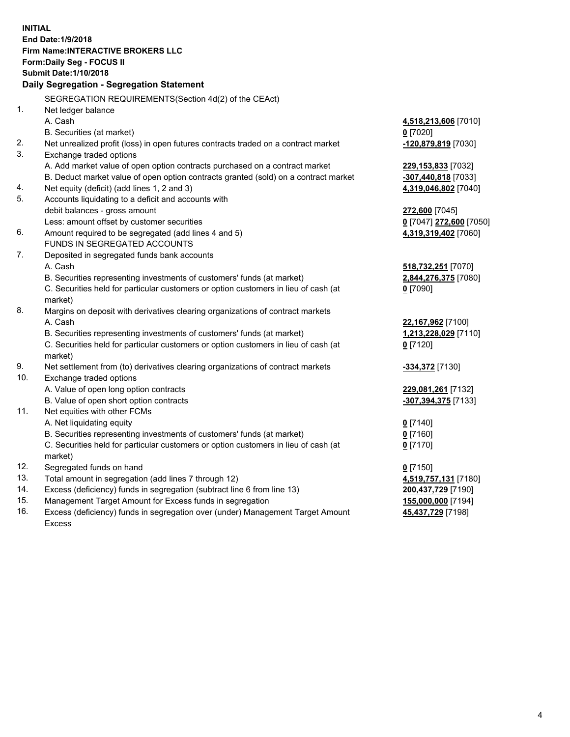**INITIAL End Date:1/9/2018 Firm Name:INTERACTIVE BROKERS LLC Form:Daily Seg - FOCUS II Submit Date:1/10/2018 Daily Segregation - Segregation Statement** SEGREGATION REQUIREMENTS(Section 4d(2) of the CEAct) 1. Net ledger balance A. Cash **4,518,213,606** [7010] B. Securities (at market) **0** [7020] 2. Net unrealized profit (loss) in open futures contracts traded on a contract market **-120,879,819** [7030] 3. Exchange traded options A. Add market value of open option contracts purchased on a contract market **229,153,833** [7032] B. Deduct market value of open option contracts granted (sold) on a contract market **-307,440,818** [7033] 4. Net equity (deficit) (add lines 1, 2 and 3) **4,319,046,802** [7040] 5. Accounts liquidating to a deficit and accounts with debit balances - gross amount **272,600** [7045] Less: amount offset by customer securities **0** [7047] **272,600** [7050] 6. Amount required to be segregated (add lines 4 and 5) **4,319,319,402** [7060] FUNDS IN SEGREGATED ACCOUNTS 7. Deposited in segregated funds bank accounts A. Cash **518,732,251** [7070] B. Securities representing investments of customers' funds (at market) **2,844,276,375** [7080] C. Securities held for particular customers or option customers in lieu of cash (at market) **0** [7090] 8. Margins on deposit with derivatives clearing organizations of contract markets A. Cash **22,167,962** [7100] B. Securities representing investments of customers' funds (at market) **1,213,228,029** [7110] C. Securities held for particular customers or option customers in lieu of cash (at market) **0** [7120] 9. Net settlement from (to) derivatives clearing organizations of contract markets **-334,372** [7130] 10. Exchange traded options A. Value of open long option contracts **229,081,261** [7132] B. Value of open short option contracts **-307,394,375** [7133] 11. Net equities with other FCMs A. Net liquidating equity **0** [7140] B. Securities representing investments of customers' funds (at market) **0** [7160] C. Securities held for particular customers or option customers in lieu of cash (at market) **0** [7170] 12. Segregated funds on hand **0** [7150] 13. Total amount in segregation (add lines 7 through 12) **4,519,757,131** [7180] 14. Excess (deficiency) funds in segregation (subtract line 6 from line 13) **200,437,729** [7190] 15. Management Target Amount for Excess funds in segregation **155,000,000** [7194]

16. Excess (deficiency) funds in segregation over (under) Management Target Amount Excess

**45,437,729** [7198]